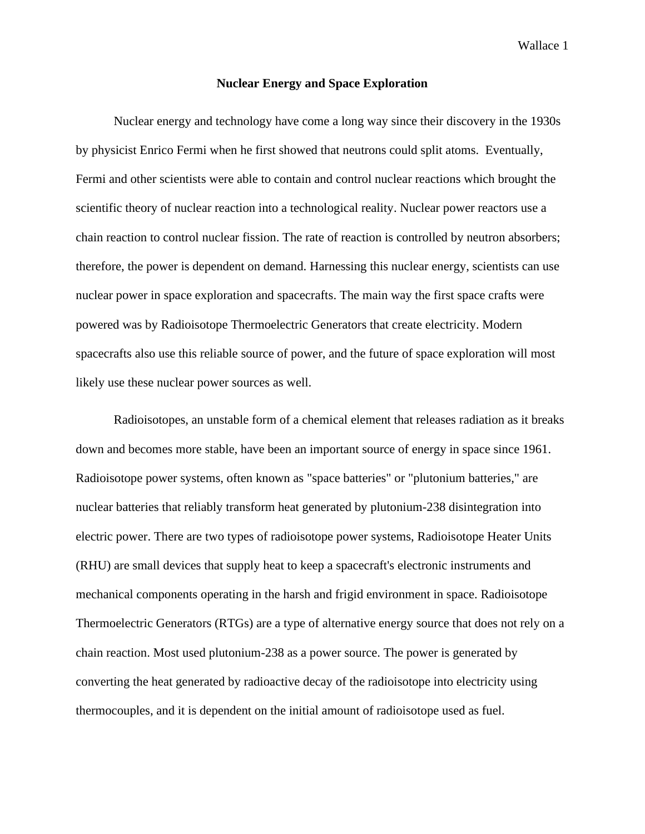Wallace 1

## **Nuclear Energy and Space Exploration**

Nuclear energy and technology have come a long way since their discovery in the 1930s by physicist Enrico Fermi when he first showed that neutrons could split atoms. Eventually, Fermi and other scientists were able to contain and control nuclear reactions which brought the scientific theory of nuclear reaction into a technological reality. Nuclear power reactors use a chain reaction to control nuclear fission. The rate of reaction is controlled by neutron absorbers; therefore, the power is dependent on demand. Harnessing this nuclear energy, scientists can use nuclear power in space exploration and spacecrafts. The main way the first space crafts were powered was by Radioisotope Thermoelectric Generators that create electricity. Modern spacecrafts also use this reliable source of power, and the future of space exploration will most likely use these nuclear power sources as well.

Radioisotopes, an unstable form of a chemical element that releases radiation as it breaks down and becomes more stable, have been an important source of energy in space since 1961. Radioisotope power systems, often known as "space batteries" or "plutonium batteries," are nuclear batteries that reliably transform heat generated by plutonium-238 disintegration into electric power. There are two types of radioisotope power systems, Radioisotope Heater Units (RHU) are small devices that supply heat to keep a spacecraft's electronic instruments and mechanical components operating in the harsh and frigid environment in space. Radioisotope Thermoelectric Generators (RTGs) are a type of alternative energy source that does not rely on a chain reaction. Most used plutonium-238 as a power source. The power is generated by converting the heat generated by radioactive decay of the radioisotope into electricity using thermocouples, and it is dependent on the initial amount of radioisotope used as fuel.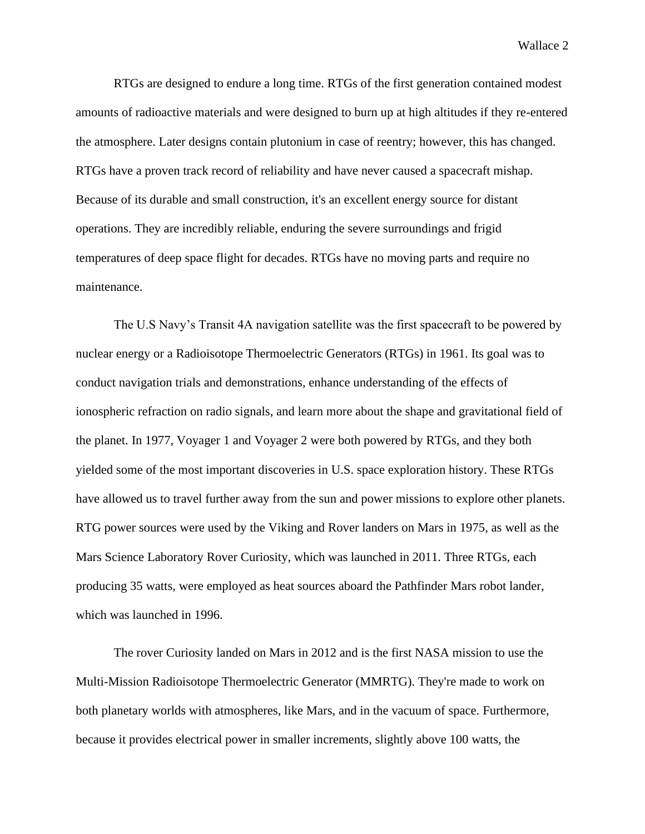Wallace 2

RTGs are designed to endure a long time. RTGs of the first generation contained modest amounts of radioactive materials and were designed to burn up at high altitudes if they re-entered the atmosphere. Later designs contain plutonium in case of reentry; however, this has changed. RTGs have a proven track record of reliability and have never caused a spacecraft mishap. Because of its durable and small construction, it's an excellent energy source for distant operations. They are incredibly reliable, enduring the severe surroundings and frigid temperatures of deep space flight for decades. RTGs have no moving parts and require no maintenance.

The U.S Navy's Transit 4A navigation satellite was the first spacecraft to be powered by nuclear energy or a Radioisotope Thermoelectric Generators (RTGs) in 1961. Its goal was to conduct navigation trials and demonstrations, enhance understanding of the effects of ionospheric refraction on radio signals, and learn more about the shape and gravitational field of the planet. In 1977, Voyager 1 and Voyager 2 were both powered by RTGs, and they both yielded some of the most important discoveries in U.S. space exploration history. These RTGs have allowed us to travel further away from the sun and power missions to explore other planets. RTG power sources were used by the Viking and Rover landers on Mars in 1975, as well as the Mars Science Laboratory Rover Curiosity, which was launched in 2011. Three RTGs, each producing 35 watts, were employed as heat sources aboard the Pathfinder Mars robot lander, which was launched in 1996.

The rover Curiosity landed on Mars in 2012 and is the first NASA mission to use the Multi-Mission Radioisotope Thermoelectric Generator (MMRTG). They're made to work on both planetary worlds with atmospheres, like Mars, and in the vacuum of space. Furthermore, because it provides electrical power in smaller increments, slightly above 100 watts, the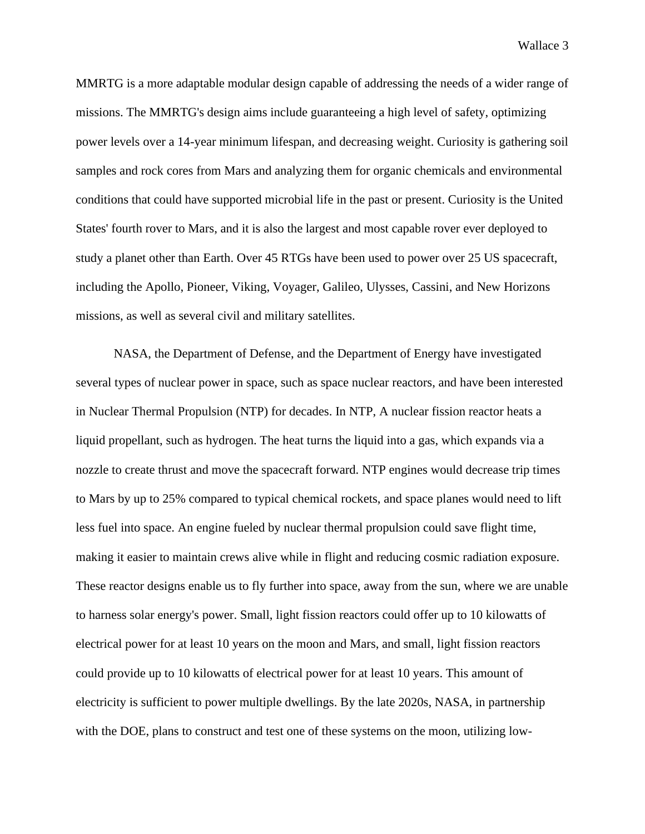MMRTG is a more adaptable modular design capable of addressing the needs of a wider range of missions. The MMRTG's design aims include guaranteeing a high level of safety, optimizing power levels over a 14-year minimum lifespan, and decreasing weight. Curiosity is gathering soil samples and rock cores from Mars and analyzing them for organic chemicals and environmental conditions that could have supported microbial life in the past or present. Curiosity is the United States' fourth rover to Mars, and it is also the largest and most capable rover ever deployed to study a planet other than Earth. Over 45 RTGs have been used to power over 25 US spacecraft, including the Apollo, Pioneer, Viking, Voyager, Galileo, Ulysses, Cassini, and New Horizons missions, as well as several civil and military satellites.

NASA, the Department of Defense, and the Department of Energy have investigated several types of nuclear power in space, such as space nuclear reactors, and have been interested in Nuclear Thermal Propulsion (NTP) for decades. In NTP, A nuclear fission reactor heats a liquid propellant, such as hydrogen. The heat turns the liquid into a gas, which expands via a nozzle to create thrust and move the spacecraft forward. NTP engines would decrease trip times to Mars by up to 25% compared to typical chemical rockets, and space planes would need to lift less fuel into space. An engine fueled by nuclear thermal propulsion could save flight time, making it easier to maintain crews alive while in flight and reducing cosmic radiation exposure. These reactor designs enable us to fly further into space, away from the sun, where we are unable to harness solar energy's power. Small, light fission reactors could offer up to 10 kilowatts of electrical power for at least 10 years on the moon and Mars, and small, light fission reactors could provide up to 10 kilowatts of electrical power for at least 10 years. This amount of electricity is sufficient to power multiple dwellings. By the late 2020s, NASA, in partnership with the DOE, plans to construct and test one of these systems on the moon, utilizing low-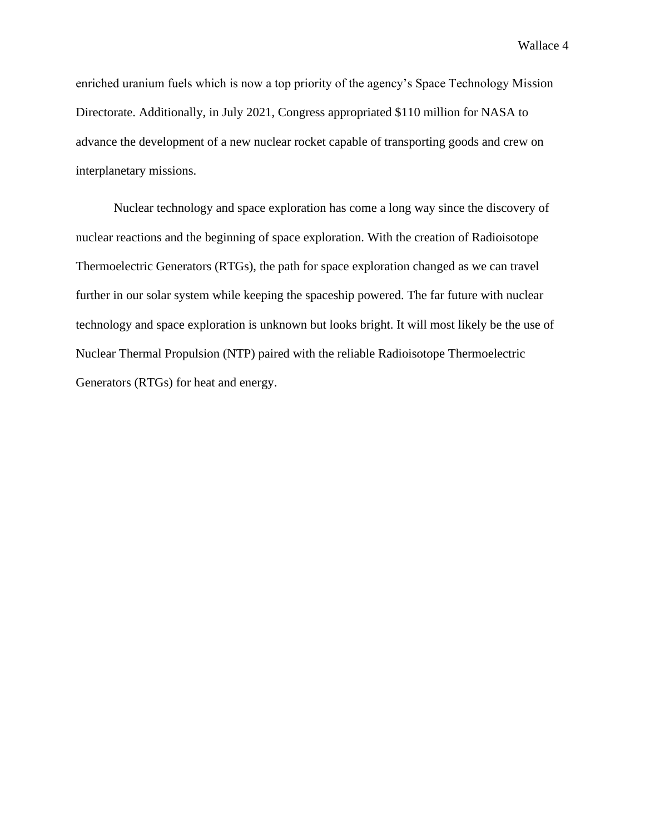Wallace 4

enriched uranium fuels which is now a top priority of the agency's Space Technology Mission Directorate. Additionally, in July 2021, Congress appropriated \$110 million for NASA to advance the development of a new nuclear rocket capable of transporting goods and crew on interplanetary missions.

Nuclear technology and space exploration has come a long way since the discovery of nuclear reactions and the beginning of space exploration. With the creation of Radioisotope Thermoelectric Generators (RTGs), the path for space exploration changed as we can travel further in our solar system while keeping the spaceship powered. The far future with nuclear technology and space exploration is unknown but looks bright. It will most likely be the use of Nuclear Thermal Propulsion (NTP) paired with the reliable Radioisotope Thermoelectric Generators (RTGs) for heat and energy.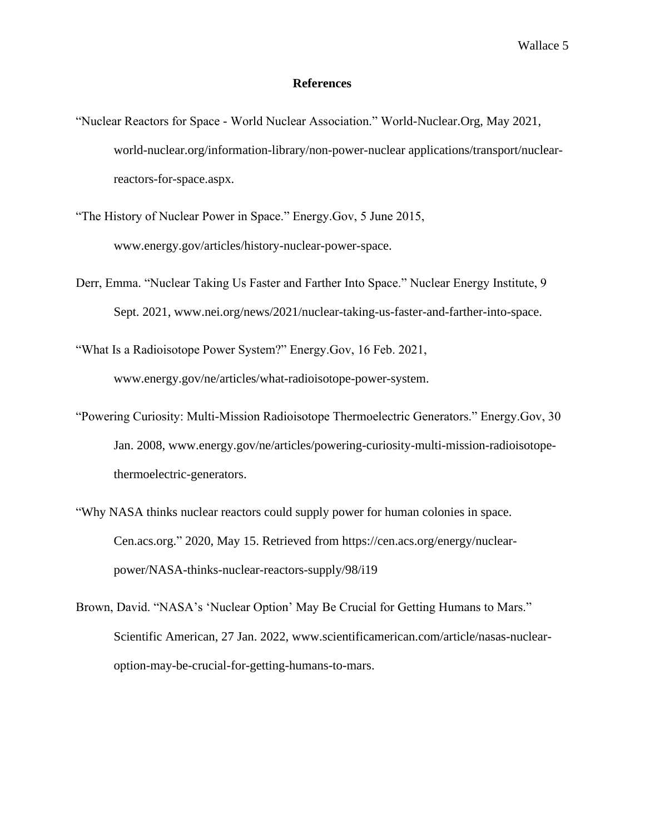## **References**

- "Nuclear Reactors for Space World Nuclear Association." World-Nuclear.Org, May 2021, world-nuclear.org/information-library/non-power-nuclear applications/transport/nuclearreactors-for-space.aspx.
- "The History of Nuclear Power in Space." Energy.Gov, 5 June 2015, www.energy.gov/articles/history-nuclear-power-space.
- Derr, Emma. "Nuclear Taking Us Faster and Farther Into Space." Nuclear Energy Institute, 9 Sept. 2021, www.nei.org/news/2021/nuclear-taking-us-faster-and-farther-into-space.

"What Is a Radioisotope Power System?" Energy.Gov, 16 Feb. 2021, www.energy.gov/ne/articles/what-radioisotope-power-system.

- "Powering Curiosity: Multi-Mission Radioisotope Thermoelectric Generators." Energy.Gov, 30 Jan. 2008, www.energy.gov/ne/articles/powering-curiosity-multi-mission-radioisotopethermoelectric-generators.
- "Why NASA thinks nuclear reactors could supply power for human colonies in space. Cen.acs.org." 2020, May 15. Retrieved from https://cen.acs.org/energy/nuclearpower/NASA-thinks-nuclear-reactors-supply/98/i19
- Brown, David. "NASA's 'Nuclear Option' May Be Crucial for Getting Humans to Mars." Scientific American, 27 Jan. 2022, www.scientificamerican.com/article/nasas-nuclearoption-may-be-crucial-for-getting-humans-to-mars.